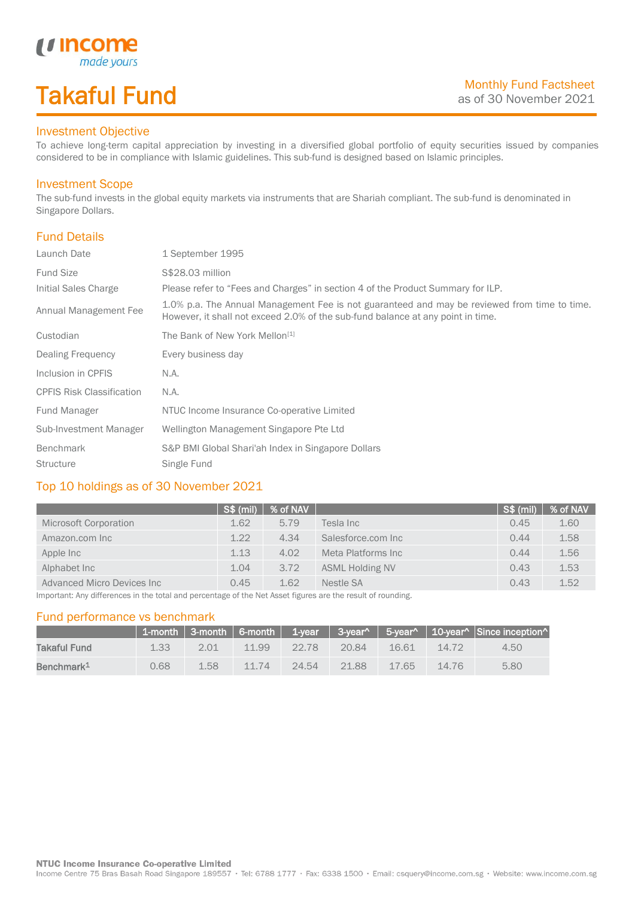# Takaful Fund

made your.

### Investment Objective

*u* Income

To achieve long-term capital appreciation by investing in a diversified global portfolio of equity securities issued by companies considered to be in compliance with Islamic guidelines. This sub-fund is designed based on Islamic principles.

#### Investment Scope

The sub-fund invests in the global equity markets via instruments that are Shariah compliant. The sub-fund is denominated in Singapore Dollars.

## Fund Details

I

| Launch Date                      | 1 September 1995                                                                                                                                                                |
|----------------------------------|---------------------------------------------------------------------------------------------------------------------------------------------------------------------------------|
| <b>Fund Size</b>                 | S\$28.03 million                                                                                                                                                                |
| Initial Sales Charge             | Please refer to "Fees and Charges" in section 4 of the Product Summary for ILP.                                                                                                 |
| Annual Management Fee            | 1.0% p.a. The Annual Management Fee is not guaranteed and may be reviewed from time to time.<br>However, it shall not exceed 2.0% of the sub-fund balance at any point in time. |
| Custodian                        | The Bank of New York Mellon <sup>[1]</sup>                                                                                                                                      |
| Dealing Frequency                | Every business day                                                                                                                                                              |
| Inclusion in CPFIS               | N.A.                                                                                                                                                                            |
| <b>CPFIS Risk Classification</b> | N.A.                                                                                                                                                                            |
| Fund Manager                     | NTUC Income Insurance Co-operative Limited                                                                                                                                      |
| Sub-Investment Manager           | Wellington Management Singapore Pte Ltd                                                                                                                                         |
| Benchmark                        | S&P BMI Global Shari'ah Index in Singapore Dollars                                                                                                                              |
| <b>Structure</b>                 | Single Fund                                                                                                                                                                     |

### Top 10 holdings as of 30 November 2021

| <b>S\$</b> (mil) |      |                        |          | % of NAV                 |
|------------------|------|------------------------|----------|--------------------------|
| 1.62             | 5.79 | Tesla Inc              | 0.45     | 1.60                     |
| 1.22             | 4.34 | Salesforce.com Inc     | 0.44     | 1.58                     |
| 1.13             | 4.02 | Meta Platforms Inc     | 0.44     | 1.56                     |
| 1.04             | 3.72 | <b>ASML Holding NV</b> | 0.43     | 1.53                     |
| 0.45             | 1.62 | Nestle SA              | 0.43     | 1.52                     |
|                  |      |                        | % of NAV | $\sqrt{\text{S}}\$ (mil) |

Important: Any differences in the total and percentage of the Net Asset figures are the result of rounding.

#### Fund performance vs benchmark

|                        |      |      |       |       |       |          |       | 1-month   3-month   6-month   1-year   3-year^   5-year^   10-year^   Since inception^ |
|------------------------|------|------|-------|-------|-------|----------|-------|----------------------------------------------------------------------------------------|
| Takaful Fund           | 1.33 | 201  | 11.99 | 22.78 | 20.84 | 16.61    | 14.72 | $4.50^{\circ}$                                                                         |
| Benchmark <sup>1</sup> | 0.68 | 1.58 | 11 74 | 24.54 | 21.88 | $-17.65$ | 14.76 | 5.80                                                                                   |

Income Centre 75 Bras Basah Road Singapore 189557 · Tel: 6788 1777 · Fax: 6338 1500 · Email: csquery@income.com.sg · Website: www.income.com.sg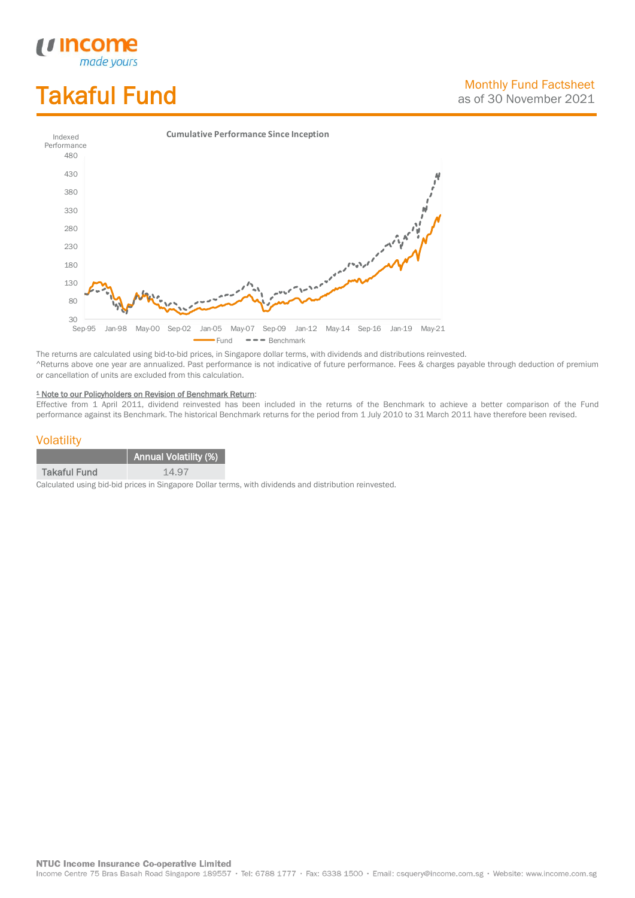# Takaful Fund

*<u>Income</u>*<br>made yours



The returns are calculated using bid-to-bid prices, in Singapore dollar terms, with dividends and distributions reinvested. ^Returns above one year are annualized. Past performance is not indicative of future performance. Fees & charges payable through deduction of premium or cancellation of units are excluded from this calculation.

#### <sup>1</sup> Note to our Policyholders on Revision of Benchmark Return:

Effective from 1 April 2011, dividend reinvested has been included in the returns of the Benchmark to achieve a better comparison of the Fund performance against its Benchmark. The historical Benchmark returns for the period from 1 July 2010 to 31 March 2011 have therefore been revised.

#### **Volatility**

|                     | <b>Annual Volatility (%)</b> |
|---------------------|------------------------------|
| <b>Takaful Fund</b> | 14.97                        |

Calculated using bid-bid prices in Singapore Dollar terms, with dividends and distribution reinvested.

**NTUC Income Insurance Co-operative Limited** 

Income Centre 75 Bras Basah Road Singapore 189557 · Tel: 6788 1777 · Fax: 6338 1500 · Email: csquery@income.com.sg · Website: www.income.com.sg